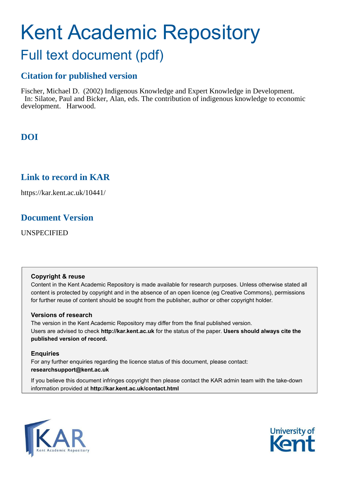# Kent Academic Repository Full text document (pdf)

# **Citation for published version**

Fischer, Michael D. (2002) Indigenous Knowledge and Expert Knowledge in Development. In: Silatoe, Paul and Bicker, Alan, eds. The contribution of indigenous knowledge to economic development. Harwood.

# **DOI**

## **Link to record in KAR**

https://kar.kent.ac.uk/10441/

### **Document Version**

UNSPECIFIED

#### **Copyright & reuse**

Content in the Kent Academic Repository is made available for research purposes. Unless otherwise stated all content is protected by copyright and in the absence of an open licence (eg Creative Commons), permissions for further reuse of content should be sought from the publisher, author or other copyright holder.

#### **Versions of research**

The version in the Kent Academic Repository may differ from the final published version. Users are advised to check **http://kar.kent.ac.uk** for the status of the paper. **Users should always cite the published version of record.**

#### **Enquiries**

For any further enquiries regarding the licence status of this document, please contact: **researchsupport@kent.ac.uk**

If you believe this document infringes copyright then please contact the KAR admin team with the take-down information provided at **http://kar.kent.ac.uk/contact.html**



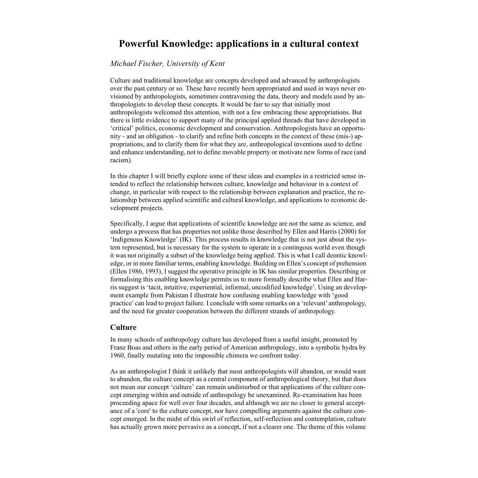# **Powerful Knowledge: applications in a cultural context**

### *Michael Fischer, University of Kent*

Culture and traditional knowledge are concepts developed and advanced by anthropologists over the past century or so. These have recently been appropriated and used in ways never envisioned by anthropologists, sometimes contravening the data, theory and models used by anthropologists to develop these concepts. It would be fair to say that initially most anthropologists welcomed this attention, with not a few embracing these appropriations. But there is little evidence to support many of the principal applied threads that have developed in 'critical' politics, economic development and conservation. Anthropologists have an opportunity - and an obligation - to clarify and refine both concepts in the context of these (mis-) appropriations, and to clarify them for what they are, anthropological inventions used to define and enhance understanding, not to define movable property or motivate new forms of race (and racism).

In this chapter I will briefly explore some of these ideas and examples in a restricted sense intended to reflect the relationship between culture, knowledge and behaviour in a context of change, in particular with respect to the relationship between explanation and practice, the relationship between applied scientific and cultural knowledge, and applications to economic development projects.

Specifically, I argue that applications of scientific knowledge are not the same as science, and undergo a process that has properties not unlike those described by Ellen and Harris (2000) for 'Indigenous Knowledge' (IK). This process results in knowledge that is not just about the system represented, but is necessary for the system to operate in a contingous world even though it was not originally a subset of the knowledge being applied. This is what I call deontic knowledge, or in more familiar terms, enabling knowledge. Building on Ellen's concept of prehension (Ellen 1986, 1993), I suggest the operative principle in IK has similar properties. Describing or formalising this enabling knowledge permits us to more formally describe what Ellen and Harris suggest is 'tacit, intuitive, experiential, informal, uncodified knowledge'. Using an development example from Pakistan I illustrate how confusing enabling knowledge with 'good practice' can lead to project failure. I conclude with some remarks on a 'relevant' anthropology, and the need for greater cooperation between the different strands of anthropology.

### **Culture**

In many schools of anthropology culture has developed from a useful insight, promoted by Franz Boas and others in the early period of American anthropology, into a symbolic hydra by 1960, finally mutating into the impossible chimera we confront today.

As an anthropologist I think it unlikely that most anthropologists will abandon, or would want to abandon, the culture concept as a central component of anthropological theory, but that does not mean our concept 'culture' can remain undisturbed or that applications of the culture concept emerging within and outside of anthropology be unexamined. Re-examination has been proceeding apace for well over four decades, and although we are no closer to general acceptance of a 'core' to the culture concept, nor have compelling arguments against the culture concept emerged. In the midst of this swirl of reflection, self-reflection and contemplation, culture has actually grown more pervasive as a concept, if not a clearer one. The theme of this volume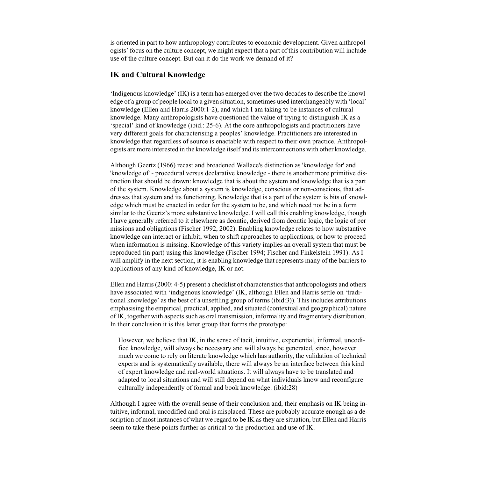is oriented in part to how anthropology contributes to economic development. Given anthropologists' focus on the culture concept, we might expect that a part of this contribution will include use of the culture concept. But can it do the work we demand of it?

### **IK and Cultural Knowledge**

'Indigenous knowledge' (IK) is a term has emerged over the two decades to describe the knowledge of a group of people local to a given situation, sometimes used interchangeably with 'local' knowledge (Ellen and Harris 2000:1-2), and which I am taking to be instances of cultural knowledge. Many anthropologists have questioned the value of trying to distinguish IK as a 'special' kind of knowledge (ibid.: 25-6). At the core anthropologists and practitioners have very different goals for characterising a peoples' knowledge. Practitioners are interested in knowledge that regardless of source is enactable with respect to their own practice. Anthropologists are more interested in the knowledge itself and its interconnections with other knowledge.

Although Geertz (1966) recast and broadened Wallace's distinction as 'knowledge for' and 'knowledge of' - procedural versus declarative knowledge - there is another more primitive distinction that should be drawn: knowledge that is about the system and knowledge that is a part of the system. Knowledge about a system is knowledge, conscious or non-conscious, that addresses that system and its functioning. Knowledge that is a part of the system is bits of knowledge which must be enacted in order for the system to be, and which need not be in a form similar to the Geertz's more substantive knowledge. I will call this enabling knowledge, though I have generally referred to it elsewhere as deontic, derived from deontic logic, the logic of per missions and obligations (Fischer 1992, 2002). Enabling knowledge relates to how substantive knowledge can interact or inhibit, when to shift approaches to applications, or how to proceed when information is missing. Knowledge of this variety implies an overall system that must be reproduced (in part) using this knowledge (Fischer 1994; Fischer and Finkelstein 1991). As I will amplify in the next section, it is enabling knowledge that represents many of the barriers to applications of any kind of knowledge, IK or not.

Ellen and Harris (2000: 4-5) present a checklist of characteristics that anthropologists and others have associated with 'indigenous knowledge' (IK, although Ellen and Harris settle on 'traditional knowledge' as the best of a unsettling group of terms (ibid:3)). This includes attributions emphasising the empirical, practical, applied, and situated (contextual and geographical) nature of IK, together with aspects such as oral transmission, informality and fragmentary distribution. In their conclusion it is this latter group that forms the prototype:

However, we believe that IK, in the sense of tacit, intuitive, experiential, informal, uncodified knowledge, will always be necessary and will always be generated, since, however much we come to rely on literate knowledge which has authority, the validation of technical experts and is systematically available, there will always be an interface between this kind of expert knowledge and real-world situations. It will always have to be translated and adapted to local situations and will still depend on what individuals know and reconfigure culturally independently of formal and book knowledge. (ibid:28)

Although I agree with the overall sense of their conclusion and, their emphasis on IK being intuitive, informal, uncodified and oral is misplaced. These are probably accurate enough as a description of most instances of what we regard to be IK as they are situation, but Ellen and Harris seem to take these points further as critical to the production and use of IK.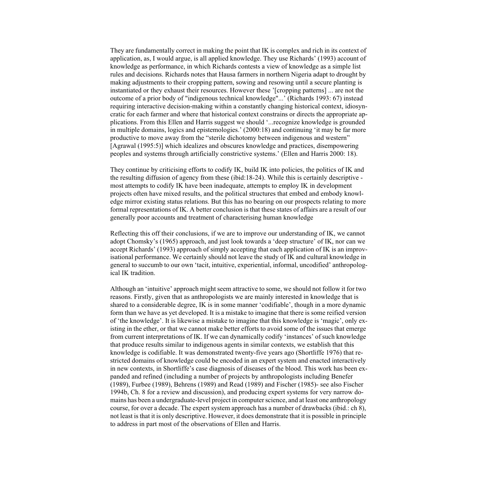They are fundamentally correct in making the point that IK is complex and rich in its context of application, as, I would argue, is all applied knowledge. They use Richards' (1993) account of knowledge as performance, in which Richards contests a view of knowledge as a simple list rules and decisions. Richards notes that Hausa farmers in northern Nigeria adapt to drought by making adjustments to their cropping pattern, sowing and resowing until a secure planting is instantiated or they exhaust their resources. However these '[cropping patterns] ... are not the outcome of a prior body of "indigenous technical knowledge"...' (Richards 1993: 67) instead requiring interactive decision-making within a constantly changing historical context, idiosyncratic for each farmer and where that historical context constrains or directs the appropriate applications. From this Ellen and Harris suggest we should '...recognize knowledge is grounded in multiple domains, logics and epistemologies.' (2000:18) and continuing 'it may be far more productive to move away from the "sterile dichotomy between indigenous and western" [Agrawal (1995:5)] which idealizes and obscures knowledge and practices, disempowering peoples and systems through artificially constrictive systems.' (Ellen and Harris 2000: 18).

They continue by criticising efforts to codify IK, build IK into policies, the politics of IK and the resulting diffusion of agency from these (ibid:18-24). While this is certainly descriptive most attempts to codify IK have been inadequate, attempts to employ IK in development projects often have mixed results, and the political structures that embed and embody knowledge mirror existing status relations. But this has no bearing on our prospects relating to more formal representations of IK. A better conclusion is that these states of affairs are a result of our generally poor accounts and treatment of characterising human knowledge

Reflecting this off their conclusions, if we are to improve our understanding of IK, we cannot adopt Chomsky's (1965) approach, and just look towards a 'deep structure' of IK, nor can we accept Richards' (1993) approach of simply accepting that each application of IK is an improvisational performance. We certainly should not leave the study of IK and cultural knowledge in general to succumb to our own 'tacit, intuitive, experiential, informal, uncodified' anthropological IK tradition.

Although an 'intuitive' approach might seem attractive to some, we should not follow it for two reasons. Firstly, given that as anthropologists we are mainly interested in knowledge that is shared to a considerable degree, IK is in some manner 'codifiable', though in a more dynamic form than we have as yet developed. It is a mistake to imagine that there is some reified version of 'the knowledge'. It is likewise a mistake to imagine that this knowledge is 'magic', only existing in the ether, or that we cannot make better efforts to avoid some of the issues that emerge from current interpretations of IK. If we can dynamically codify 'instances' of such knowledge that produce results similar to indigenous agents in similar contexts, we establish that this knowledge is codifiable. It was demonstrated twenty-five years ago (Shortliffe 1976) that restricted domains of knowledge could be encoded in an expert system and enacted interactively in new contexts, in Shortliffe's case diagnosis of diseases of the blood. This work has been expanded and refined (including a number of projects by anthropologists including Benefer (1989), Furbee (1989), Behrens (1989) and Read (1989) and Fischer (1985)- see also Fischer 1994b, Ch. 8 for a review and discussion), and producing expert systems for very narrow domains has been a undergraduate-level project in computer science, and at least one anthropology course, for over a decade. The expert system approach has a number of drawbacks (ibid.: ch 8), not least is that it is only descriptive. However, it does demonstrate that it is possible in principle to address in part most of the observations of Ellen and Harris.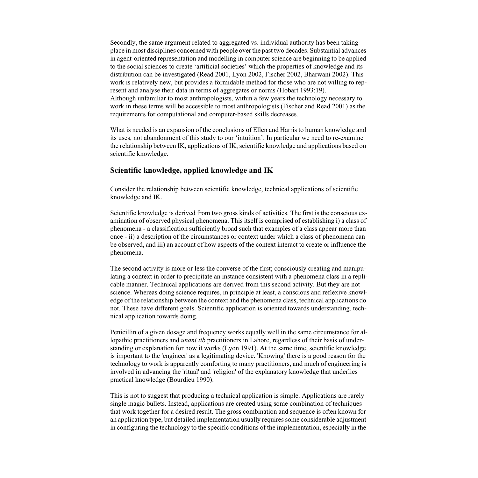Secondly, the same argument related to aggregated vs. individual authority has been taking place in most disciplines concerned with people over the past two decades. Substantial advances in agent-oriented representation and modelling in computer science are beginning to be applied to the social sciences to create 'artificial societies' which the properties of knowledge and its distribution can be investigated (Read 2001, Lyon 2002, Fischer 2002, Bharwani 2002). This work is relatively new, but provides a formidable method for those who are not willing to represent and analyse their data in terms of aggregates or norms (Hobart 1993:19). Although unfamiliar to most anthropologists, within a few years the technology necessary to work in these terms will be accessible to most anthropologists (Fischer and Read 2001) as the requirements for computational and computer-based skills decreases.

What is needed is an expansion of the conclusions of Ellen and Harris to human knowledge and its uses, not abandonment of this study to our 'intuition'. In particular we need to re-examine the relationship between IK, applications of IK, scientific knowledge and applications based on scientific knowledge.

### **Scientific knowledge, applied knowledge and IK**

Consider the relationship between scientific knowledge, technical applications of scientific knowledge and IK.

Scientific knowledge is derived from two gross kinds of activities. The first is the conscious examination of observed physical phenomena. This itself is comprised of establishing i) a class of phenomena - a classification sufficiently broad such that examples of a class appear more than once - ii) a description of the circumstances or context under which a class of phenomena can be observed, and iii) an account of how aspects of the context interact to create or influence the phenomena.

The second activity is more or less the converse of the first; consciously creating and manipulating a context in order to precipitate an instance consistent with a phenomena class in a replicable manner. Technical applications are derived from this second activity. But they are not science. Whereas doing science requires, in principle at least, a conscious and reflexive knowledge of the relationship between the context and the phenomena class, technical applications do not. These have different goals. Scientific application is oriented towards understanding, technical application towards doing.

Penicillin of a given dosage and frequency works equally well in the same circumstance for allopathic practitioners and *unani tib* practitioners in Lahore, regardless of their basis of understanding or explanation for how it works (Lyon 1991). At the same time, scientific knowledge is important to the 'engineer' as a legitimating device. 'Knowing' there is a good reason for the technology to work is apparently comforting to many practitioners, and much of engineering is involved in advancing the 'ritual' and 'religion' of the explanatory knowledge that underlies practical knowledge (Bourdieu 1990).

This is not to suggest that producing a technical application is simple. Applications are rarely single magic bullets. Instead, applications are created using some combination of techniques that work together for a desired result. The gross combination and sequence is often known for an application type, but detailed implementation usually requires some considerable adjustment in configuring the technology to the specific conditions of the implementation, especially in the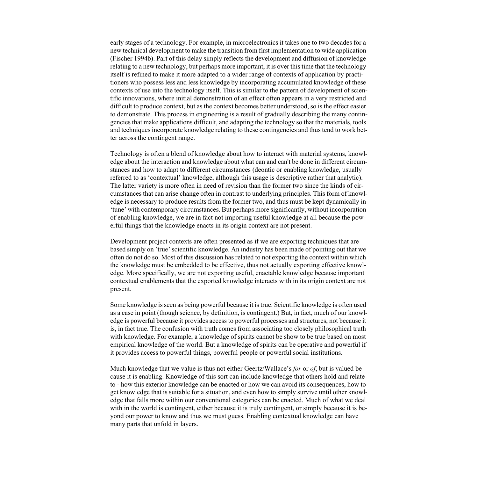early stages of a technology. For example, in microelectronics it takes one to two decades for a new technical development to make the transition from first implementation to wide application (Fischer 1994b). Part of this delay simply reflects the development and diffusion of knowledge relating to a new technology, but perhaps more important, it is over this time that the technology itself is refined to make it more adapted to a wider range of contexts of application by practitioners who possess less and less knowledge by incorporating accumulated knowledge of these contexts of use into the technology itself. This is similar to the pattern of development of scientific innovations, where initial demonstration of an effect often appears in a very restricted and difficult to produce context, but as the context becomes better understood, so is the effect easier to demonstrate. This process in engineering is a result of gradually describing the many contingencies that make applications difficult, and adapting the technology so that the materials, tools and techniques incorporate knowledge relating to these contingencies and thus tend to work better across the contingent range.

Technology is often a blend of knowledge about how to interact with material systems, knowledge about the interaction and knowledge about what can and can't be done in different circumstances and how to adapt to different circumstances (deontic or enabling knowledge, usually referred to as 'contextual' knowledge, although this usage is descriptive rather that analytic). The latter variety is more often in need of revision than the former two since the kinds of circumstances that can arise change often in contrast to underlying principles. This form of knowledge is necessary to produce results from the former two, and thus must be kept dynamically in 'tune' with contemporary circumstances. But perhaps more significantly, without incorporation of enabling knowledge, we are in fact not importing useful knowledge at all because the powerful things that the knowledge enacts in its origin context are not present.

Development project contexts are often presented as if we are exporting techniques that are based simply on 'true' scientific knowledge. An industry has been made of pointing out that we often do not do so. Most of this discussion has related to not exporting the context within which the knowledge must be embedded to be effective, thus not actually exporting effective knowledge. More specifically, we are not exporting useful, enactable knowledge because important contextual enablements that the exported knowledge interacts with in its origin context are not present.

Some knowledge is seen as being powerful because it is true. Scientific knowledge is often used as a case in point (though science, by definition, is contingent.) But, in fact, much of our knowledge is powerful because it provides access to powerful processes and structures, not because it is, in fact true. The confusion with truth comes from associating too closely philosophical truth with knowledge. For example, a knowledge of spirits cannot be show to be true based on most empirical knowledge of the world. But a knowledge of spirits can be operative and powerful if it provides access to powerful things, powerful people or powerful social institutions.

Much knowledge that we value is thus not either Geertz/Wallace's *for* or *of*, but is valued because it is enabling. Knowledge of this sort can include knowledge that others hold and relate to - how this exterior knowledge can be enacted or how we can avoid its consequences, how to get knowledge that is suitable for a situation, and even how to simply survive until other knowledge that falls more within our conventional categories can be enacted. Much of what we deal with in the world is contingent, either because it is truly contingent, or simply because it is beyond our power to know and thus we must guess. Enabling contextual knowledge can have many parts that unfold in layers.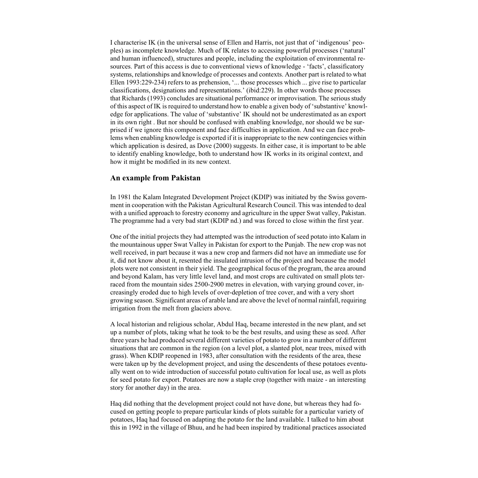I characterise IK (in the universal sense of Ellen and Harris, not just that of 'indigenous' peoples) as incomplete knowledge. Much of IK relates to accessing powerful processes ('natural' and human influenced), structures and people, including the exploitation of environmental resources. Part of this access is due to conventional views of knowledge - 'facts', classificatory systems, relationships and knowledge of processes and contexts. Another part is related to what Ellen 1993:229-234) refers to as prehension, '... those processes which ... give rise to particular classifications, designations and representations.' (ibid:229). In other words those processes that Richards (1993) concludes are situational performance or improvisation. The serious study of this aspect of IK is required to understand how to enable a given body of 'substantive' knowledge for applications. The value of 'substantive' IK should not be underestimated as an export in its own right . But nor should be confused with enabling knowledge, nor should we be surprised if we ignore this component and face difficulties in application. And we can face problems when enabling knowledge is exported if it is inappropriate to the new contingencies within which application is desired, as Dove (2000) suggests. In either case, it is important to be able to identify enabling knowledge, both to understand how IK works in its original context, and how it might be modified in its new context.

#### **An example from Pakistan**

In 1981 the Kalam Integrated Development Project (KDIP) was initiated by the Swiss government in cooperation with the Pakistan Agricultural Research Council. This was intended to deal with a unified approach to forestry economy and agriculture in the upper Swat valley, Pakistan. The programme had a very bad start (KDIP nd.) and was forced to close within the first year.

One of the initial projects they had attempted was the introduction of seed potato into Kalam in the mountainous upper Swat Valley in Pakistan for export to the Punjab. The new crop was not well received, in part because it was a new crop and farmers did not have an immediate use for it, did not know about it, resented the insulated intrusion of the project and because the model plots were not consistent in their yield. The geographical focus of the program, the area around and beyond Kalam, has very little level land, and most crops are cultivated on small plots terraced from the mountain sides 2500-2900 metres in elevation, with varying ground cover, increasingly eroded due to high levels of over-depletion of tree cover, and with a very short growing season. Significant areas of arable land are above the level of normal rainfall, requiring irrigation from the melt from glaciers above.

A local historian and religious scholar, Abdul Haq, became interested in the new plant, and set up a number of plots, taking what he took to be the best results, and using these as seed. After three years he had produced several different varieties of potato to grow in a number of different situations that are common in the region (on a level plot, a slanted plot, near trees, mixed with grass). When KDIP reopened in 1983, after consultation with the residents of the area, these were taken up by the development project, and using the descendents of these potatoes eventually went on to wide introduction of successful potato cultivation for local use, as well as plots for seed potato for export. Potatoes are now a staple crop (together with maize - an interesting story for another day) in the area.

Haq did nothing that the development project could not have done, but whereas they had focused on getting people to prepare particular kinds of plots suitable for a particular variety of potatoes, Haq had focused on adapting the potato for the land available. I talked to him about this in 1992 in the village of Bhuu, and he had been inspired by traditional practices associated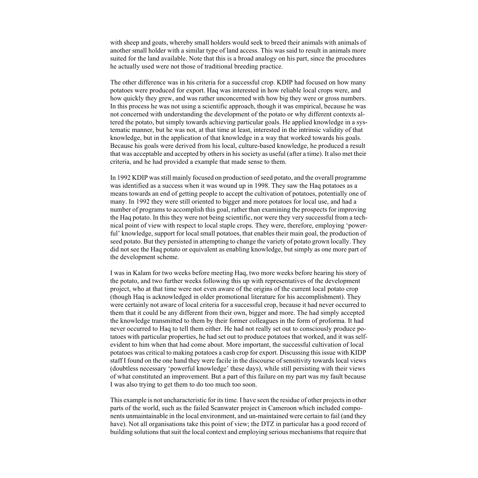with sheep and goats, whereby small holders would seek to breed their animals with animals of another small holder with a similar type of land access. This was said to result in animals more suited for the land available. Note that this is a broad analogy on his part, since the procedures he actually used were not those of traditional breeding practice.

The other difference was in his criteria for a successful crop. KDIP had focused on how many potatoes were produced for export. Haq was interested in how reliable local crops were, and how quickly they grew, and was rather unconcerned with how big they were or gross numbers. In this process he was not using a scientific approach, though it was empirical, because he was not concerned with understanding the development of the potato or why different contexts altered the potato, but simply towards achieving particular goals. He applied knowledge in a systematic manner, but he was not, at that time at least, interested in the intrinsic validity of that knowledge, but in the application of that knowledge in a way that worked towards his goals. Because his goals were derived from his local, culture-based knowledge, he produced a result that was acceptable and accepted by others in his society as useful (after a time). It also met their criteria, and he had provided a example that made sense to them.

In 1992 KDIP was still mainly focused on production of seed potato, and the overall programme was identified as a success when it was wound up in 1998. They saw the Haq potatoes as a means towards an end of getting people to accept the cultivation of potatoes, potentially one of many. In 1992 they were still oriented to bigger and more potatoes for local use, and had a number of programs to accomplish this goal, rather than examining the prospects for improving the Haq potato. In this they were not being scientific, nor were they very successful from a technical point of view with respect to local staple crops. They were, therefore, employing 'powerful' knowledge, support for local small potatoes, that enables their main goal, the production of seed potato. But they persisted in attempting to change the variety of potato grown locally. They did not see the Haq potato or equivalent as enabling knowledge, but simply as one more part of the development scheme.

I was in Kalam for two weeks before meeting Haq, two more weeks before hearing his story of the potato, and two further weeks following this up with representatives of the development project, who at that time were not even aware of the origins of the current local potato crop (though Haq is acknowledged in older promotional literature for his accomplishment). They were certainly not aware of local criteria for a successful crop, because it had never occurred to them that it could be any different from their own, bigger and more. The had simply accepted the knowledge transmitted to them by their former colleagues in the form of proforma. It had never occurred to Haq to tell them either. He had not really set out to consciously produce potatoes with particular properties, he had set out to produce potatoes that worked, and it was selfevident to him when that had come about. More important, the successful cultivation of local potatoes was critical to making potatoes a cash crop for export. Discussing this issue with KIDP staff I found on the one hand they were facile in the discourse of sensitivity towards local views (doubtless necessary 'powerful knowledge' these days), while still persisting with their views of what constituted an improvement. But a part of this failure on my part was my fault because I was also trying to get them to do too much too soon.

This example is not uncharacteristic for its time. I have seen the residue of other projects in other parts of the world, such as the failed Scanwater project in Cameroon which included components unmaintainable in the local environment, and un-maintained were certain to fail (and they have). Not all organisations take this point of view; the DTZ in particular has a good record of building solutions that suit the local context and employing serious mechanisms that require that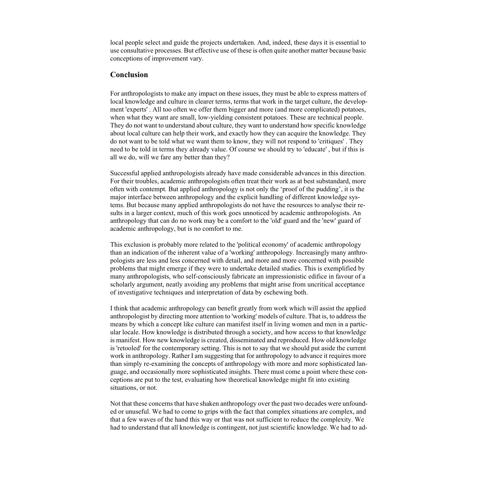local people select and guide the projects undertaken. And, indeed, these days it is essential to use consultative processes. But effective use of these is often quite another matter because basic conceptions of improvement vary.

### **Conclusion**

For anthropologists to make any impact on these issues, they must be able to express matters of local knowledge and culture in clearer terms, terms that work in the target culture, the development 'experts' . All too often we offer them bigger and more (and more complicated) potatoes, when what they want are small, low-yielding consistent potatoes. These are technical people. They do not want to understand about culture, they want to understand how specific knowledge about local culture can help their work, and exactly how they can acquire the knowledge. They do not want to be told what we want them to know, they will not respond to 'critiques' . They need to be told in terms they already value. Of course we should try to 'educate' , but if this is all we do, will we fare any better than they?

Successful applied anthropologists already have made considerable advances in this direction. For their troubles, academic anthropologists often treat their work as at best substandard, more often with contempt. But applied anthropology is not only the 'proof of the pudding', it is the major interface between anthropology and the explicit handling of different knowledge systems. But because many applied anthropologists do not have the resources to analyse their results in a larger context, much of this work goes unnoticed by academic anthropologists. An anthropology that can do no work may be a comfort to the 'old' guard and the 'new' guard of academic anthropology, but is no comfort to me.

This exclusion is probably more related to the 'political economy' of academic anthropology than an indication of the inherent value of a 'working' anthropology. Increasingly many anthropologists are less and less concerned with detail, and more and more concerned with possible problems that might emerge if they were to undertake detailed studies. This is exemplified by many anthropologists, who self-consciously fabricate an impressionistic edifice in favour of a scholarly argument, neatly avoiding any problems that might arise from uncritical acceptance of investigative techniques and interpretation of data by eschewing both.

I think that academic anthropology can benefit greatly from work which will assist the applied anthropologist by directing more attention to 'working' models of culture. That is, to address the means by which a concept like culture can manifest itself in living women and men in a particular locale. How knowledge is distributed through a society, and how access to that knowledge is manifest. How new knowledge is created, disseminated and reproduced. How old knowledge is 'retooled' for the contemporary setting. This is not to say that we should put aside the current work in anthropology. Rather I am suggesting that for anthropology to advance it requires more than simply re-examining the concepts of anthropology with more and more sophisticated language, and occasionally more sophisticated insights. There must come a point where these conceptions are put to the test, evaluating how theoretical knowledge might fit into existing situations, or not.

Not that these concerns that have shaken anthropology over the past two decades were unfounded or unuseful. We had to come to grips with the fact that complex situations are complex, and that a few waves of the hand this way or that was not sufficient to reduce the complexity. We had to understand that all knowledge is contingent, not just scientific knowledge. We had to ad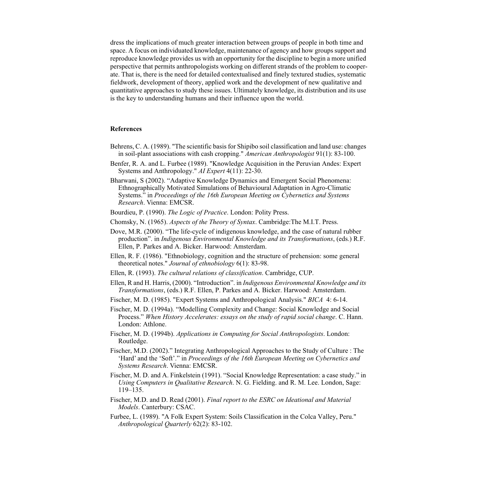dress the implications of much greater interaction between groups of people in both time and space. A focus on individuated knowledge, maintenance of agency and how groups support and reproduce knowledge provides us with an opportunity for the discipline to begin a more unified perspective that permits anthropologists working on different strands of the problem to cooperate. That is, there is the need for detailed contextualised and finely textured studies, systematic fieldwork, development of theory, applied work and the development of new qualitative and quantitative approaches to study these issues. Ultimately knowledge, its distribution and its use is the key to understanding humans and their influence upon the world.

#### **References**

- Behrens, C. A. (1989). "The scientific basis for Shipibo soil classification and land use: changes in soil-plant associations with cash cropping." *American Anthropologist* 91(1): 83-100.
- Benfer, R. A. and L. Furbee (1989). "Knowledge Acquisition in the Peruvian Andes: Expert Systems and Anthropology." *AI Expert* 4(11): 22-30.
- Bharwani, S (2002). "Adaptive Knowledge Dynamics and Emergent Social Phenomena: Ethnographically Motivated Simulations of Behavioural Adaptation in Agro-Climatic Systems." in *Proceedings of the 16th European Meeting on Cybernetics and Systems Research*. Vienna: EMCSR.
- Bourdieu, P. (1990). *The Logic of Practice*. London: Polity Press.
- Chomsky, N. (1965). *Aspects of the Theory of Syntax*. Cambridge:The M.I.T. Press.
- Dove, M.R. (2000). "The life-cycle of indigenous knowledge, and the case of natural rubber production". in *Indigenous Environmental Knowledge and its Transformations*, (eds.) R.F. Ellen, P. Parkes and A. Bicker. Harwood: Amsterdam.
- Ellen, R. F. (1986). "Ethnobiology, cognition and the structure of prehension: some general theoretical notes." *Journal of ethnobiology* 6(1): 83-98.
- Ellen, R. (1993). *The cultural relations of classification*. Cambridge, CUP.
- Ellen, R and H. Harris, (2000). "Introduction". in *Indigenous Environmental Knowledge and its Transformations*, (eds.) R.F. Ellen, P. Parkes and A. Bicker. Harwood: Amsterdam.
- Fischer, M. D. (1985). "Expert Systems and Anthropological Analysis." *BICA* 4: 6-14.
- Fischer, M. D. (1994a). "Modelling Complexity and Change: Social Knowledge and Social Process." *When History Accelerates: essays on the study of rapid social change*. C. Hann. London: Athlone.
- Fischer, M. D. (1994b). *Applications in Computing for Social Anthropologists*. London: Routledge.
- Fischer, M.D. (2002)." Integrating Anthropological Approaches to the Study of Culture : The 'Hard' and the 'Soft'." in *Proceedings of the 16th European Meeting on Cybernetics and Systems Research*. Vienna: EMCSR.
- Fischer, M. D. and A. Finkelstein (1991). "Social Knowledge Representation: a case study." in *Using Computers in Qualitative Research*. N. G. Fielding. and R. M. Lee. London, Sage: 119–135.
- Fischer, M.D. and D. Read (2001). *Final report to the ESRC on Ideational and Material Models*. Canterbury: CSAC.
- Furbee, L. (1989). "A Folk Expert System: Soils Classification in the Colca Valley, Peru." *Anthropological Quarterly* 62(2): 83-102.